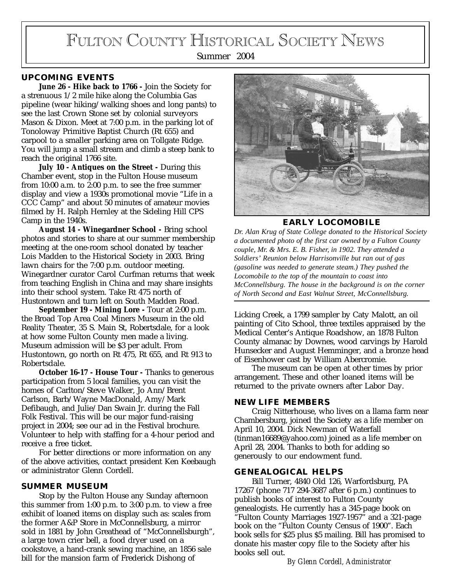# FULTON COUNTY HISTORICAL SOCIETY NEWS

Summer 2004

# **UPCOMING EVENTS**

**June 26 - Hike back to 1766 -** Join the Society for a strenuous 1/2 mile hike along the Columbia Gas pipeline (wear hiking/walking shoes and long pants) to see the last Crown Stone set by colonial surveyors Mason & Dixon. Meet at 7:00 p.m. in the parking lot of Tonoloway Primitive Baptist Church (Rt 655) and carpool to a smaller parking area on Tollgate Ridge. You will jump a small stream and climb a steep bank to reach the original 1766 site.

**July 10 - Antiques on the Street -** During this Chamber event, stop in the Fulton House museum from 10:00 a.m. to 2:00 p.m. to see the free summer display and view a 1930s promotional movie "Life in a CCC Camp" and about 50 minutes of amateur movies filmed by H. Ralph Hernley at the Sideling Hill CPS Camp in the 1940s.

**August 14 - Winegardner School -** Bring school photos and stories to share at our summer membership meeting at the one-room school donated by teacher Lois Madden to the Historical Society in 2003. Bring lawn chairs for the 7:00 p.m. outdoor meeting. Winegardner curator Carol Curfman returns that week from teaching English in China and may share insights into their school system. Take Rt 475 north of Hustontown and turn left on South Madden Road.

**September 19 - Mining Lore -** Tour at 2:00 p.m. the Broad Top Area Coal Miners Museum in the old Reality Theater, 35 S. Main St, Robertsdale, for a look at how some Fulton County men made a living. Museum admission will be \$3 per adult. From Hustontown, go north on Rt 475, Rt 655, and Rt 913 to Robertsdale.

**October 16-17 - House Tour -** Thanks to generous participation from 5 local families, you can visit the homes of Carlton/Steve Walker, Jo Ann/Brent Carlson, Barb/Wayne MacDonald, Amy/Mark Defibaugh, and Julie/Dan Swain Jr. during the Fall Folk Festival. This will be our major fund-raising project in 2004; see our ad in the Festival brochure. Volunteer to help with staffing for a 4-hour period and receive a free ticket.

For better directions or more information on any of the above activities, contact president Ken Keebaugh or administrator Glenn Cordell.

### **SUMMER MUSEUM**

Stop by the Fulton House any Sunday afternoon this summer from 1:00 p.m. to 3:00 p.m. to view a free exhibit of loaned items on display such as: scales from the former A&P Store in McConnellsburg, a mirror sold in 1881 by John Greathead of "McConnellsburgh", a large town crier bell, a food dryer used on a cookstove, a hand-crank sewing machine, an 1856 sale bill for the mansion farm of Frederick Dishong of



**EARLY LOCOMOBILE**

*Dr. Alan Krug of State College donated to the Historical Society a documented photo of the first car owned by a Fulton County couple, Mr. & Mrs. E. B. Fisher, in 1902. They attended a Soldiers' Reunion below Harrisonville but ran out of gas (gasoline was needed to generate steam.) They pushed the Locomobile to the top of the mountain to coast into McConnellsburg. The house in the background is on the corner of North Second and East Walnut Street, McConnellsburg.*

Licking Creek, a 1799 sampler by Caty Malott, an oil painting of Cito School, three textiles appraised by the Medical Center's Antique Roadshow, an 1878 Fulton County almanac by Downes, wood carvings by Harold Hunsecker and August Hemminger, and a bronze head of Eisenhower cast by William Abercromie.

The museum can be open at other times by prior arrangement. These and other loaned items will be returned to the private owners after Labor Day.

## **NEW LIFE MEMBERS**

Craig Nitterhouse, who lives on a llama farm near Chambersburg, joined the Society as a life member on April 10, 2004. Dick Newman of Waterfall (tinman16689@yahoo.com) joined as a life member on April 28, 2004. Thanks to both for adding so generously to our endowment fund.

#### **GENEALOGICAL HELPS**

Bill Turner, 4840 Old 126, Warfordsburg, PA 17267 (phone 717 294-3687 after 6 p.m.) continues to publish books of interest to Fulton County genealogists. He currently has a 345-page book on "Fulton County Marriages 1927-1957" and a 321-page book on the "Fulton County Census of 1900". Each book sells for \$25 plus \$5 mailing. Bill has promised to donate his master copy file to the Society after his books sell out.

*By Glenn Cordell, Administrator*